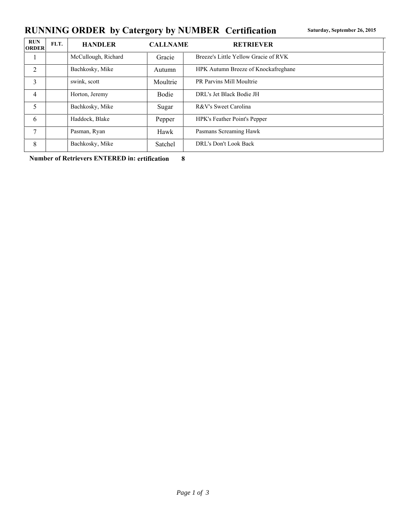## RUNNING ORDER by Catergory by NUMBER Certification **Saturday, September 26, 2015**

| <b>RUN</b><br><b>ORDER</b> | FLT. | <b>HANDLER</b>      | <b>CALLNAME</b> | <b>RETRIEVER</b>                     |
|----------------------------|------|---------------------|-----------------|--------------------------------------|
|                            |      | McCullough, Richard | Gracie          | Breeze's Little Yellow Gracie of RVK |
| 2                          |      | Bachkosky, Mike     | Autumn          | HPK Autumn Breeze of Knockafreghane  |
| 3                          |      | swink, scott        | Moultrie        | PR Parvins Mill Moultrie             |
| 4                          |      | Horton, Jeremy      | <b>Bodie</b>    | DRL's Jet Black Bodie JH             |
| 5                          |      | Bachkosky, Mike     | Sugar           | R&V's Sweet Carolina                 |
| 6                          |      | Haddock, Blake      | Pepper          | HPK's Feather Point's Pepper         |
| 7                          |      | Pasman, Ryan        | Hawk            | Pasmans Screaming Hawk               |
| 8                          |      | Bachkosky, Mike     | Satchel         | DRL's Don't Look Back                |

**Number of Retrievers ENTERED in: ertification 8**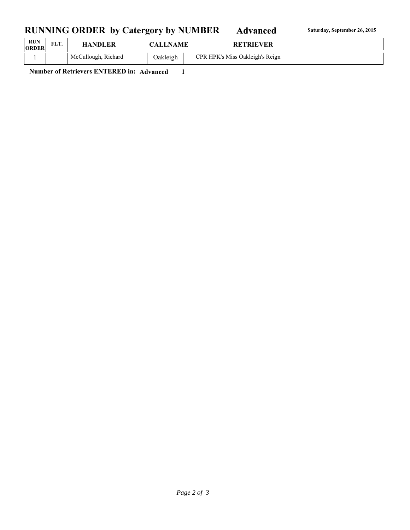## RUNNING ORDER by Catergory by NUMBER Advanced Saturday, September 26, 2015

| <b>RUN</b><br><b>ORDER</b> | FLT. | <b>HANDLER</b>      | <b>CALLNAME</b> | <b>RETRIEVER</b>                |
|----------------------------|------|---------------------|-----------------|---------------------------------|
|                            |      | McCullough, Richard | Oakleigh        | CPR HPK's Miss Oakleigh's Reign |

**Number of Retrievers ENTERED in: Advanced 1**